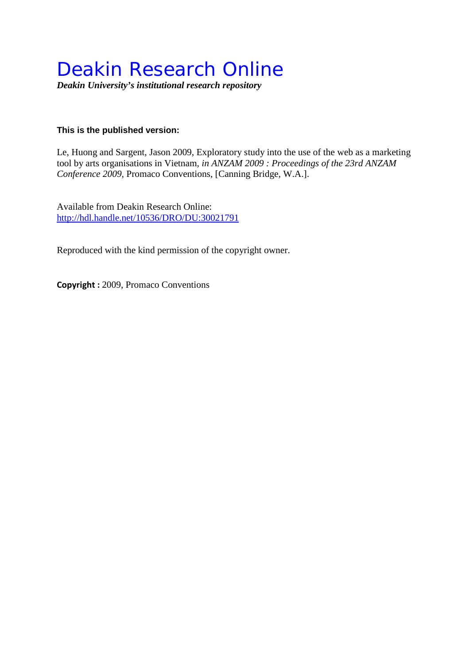# Deakin Research Online

*Deakin University's institutional research repository*

# **This is the published version:**

Le, Huong and Sargent, Jason 2009, Exploratory study into the use of the web as a marketing tool by arts organisations in Vietnam*, in ANZAM 2009 : Proceedings of the 23rd ANZAM Conference 2009*, Promaco Conventions, [Canning Bridge, W.A.].

Available from Deakin Research Online: <http://hdl.handle.net/10536/DRO/DU:30021791>

Reproduced with the kind permission of the copyright owner.

**Copyright :** 2009, Promaco Conventions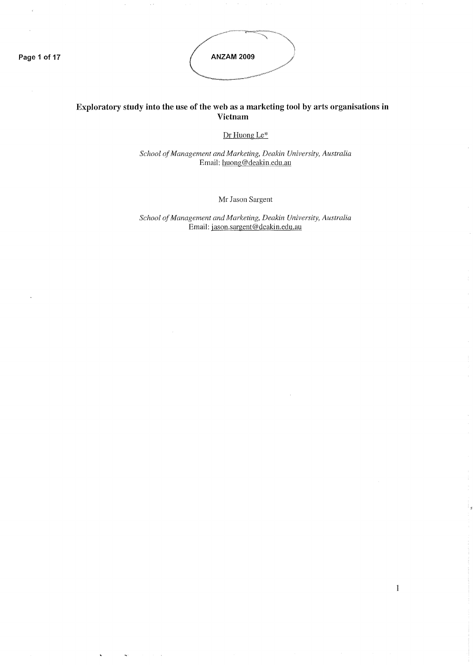**Page 1 of 17**

 $\ddot{\phantom{a}}$ 

÷,

 $\ddot{\phantom{a}}$ 

 $\bar{z}$  :



# **Exploratory study into the use of the web as a marketing tool by arts organisations in Vietnam**

Dr HuongLe\*

*School ofManagement and Marketing, Deakin University, Australia* Email: huong@deakin.edu.au

Mr Jason Sargent

*School ofManagement and Marketing, Deakin University, Australia* Email: jason.sargent@deakin.edu.au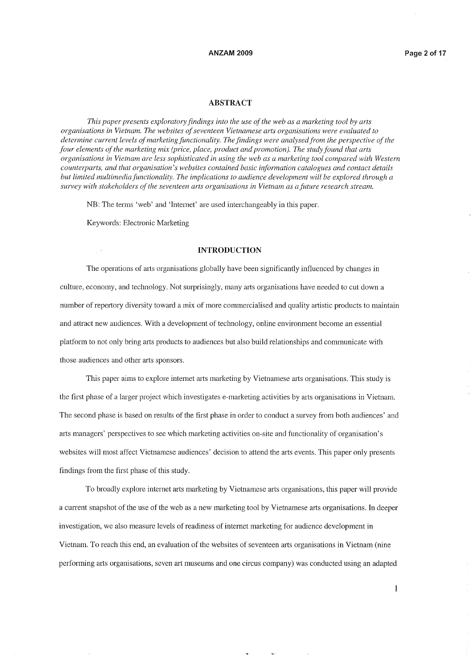### **ABSTRACT**

*This paper presents exploratory findings into the use ofthe web as a marketing tool by arts organisations in Vietnam. The websites ofseventeen Vietnamese arts organisations were evaluated to determine current levels ofmarketing functionality. The findings were analysedfrom the perspective ofthe four elements ofthe marketing mix (price, place, product and promotion). The study found that arts* organisations in Vietnam are less sophisticated in using the web as a marketing tool compared with Western *counterparts, and that organisation's websites contained basic infonnation catalogues and contact details but limited multimedia functionality. The implications to audience development will be explored through a survey with stakeholders ofthe seventeen arts organisations in Vietnam as afuture research stream.*

NB: The terms 'web' and 'Internet' are used interchangeably in this paper.

Keywords: Electronic Marketing

### **INTRODUCTION**

The operations of arts organisations globally have been significantly influenced by changes in culture, economy, and technology. Not surprisingly, many arts organisations have needed to cut down a number of repertory diversity toward a mix of more commercialised and quality artistic products to maintain and attract new audiences. With a development of technology, online environment become an essential platform to not only bring arts products to audiences but also build relationships and communicate with those audiences and other arts sponsors.

This paper aims to explore internet arts marketing by Vietnamese arts organisations. This study is the first phase of a larger project which investigates e-marketing activities by arts organisations in Vietnam. The second phase is based on results of the first phase in order to conduct a survey from both audiences' and arts managers' perspectives to see which marketing activities on-site and functionality of organisation's websites will most affect Vietnamese audiences' decision to attend the arts events. This paper only presents findings from the first phase of this study.

To broadly explore internet arts marketing by Vietnamese arts organisations, this paper will provide a current snapshot of the use of the web as a new marketing tool by Vietnamese arts organisations. In deeper investigation, we also measure levels of readiness of internet marketing for audience development in Vietnam. To reach this end, an evaluation of the websites of seventeen arts organisations in Vietnam (nine performing arts organisations, seven art museums and one circus company) was conducted using an adapted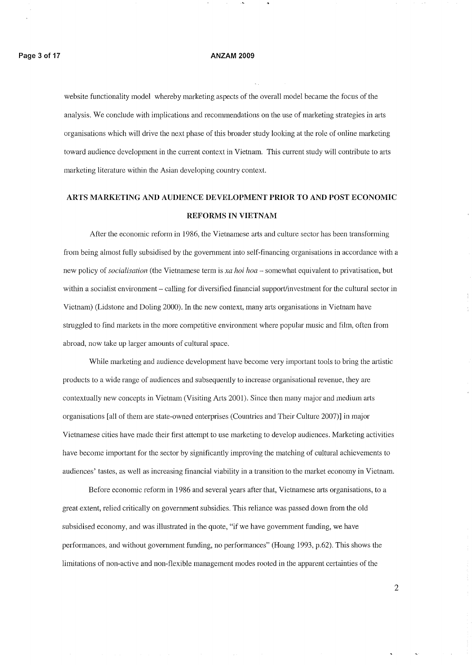website functionality model whereby marketing aspects of the overall model became the focus of the analysis. We conclude with implications and recommendations on the use of marketing strategies in arts organisations which will drive the next phase of this broader study looking at the role of online marketing toward audience development in the current context in Vietnam. This current study will contribute to arts marketing literature within the Asian developing country context.

# ARTS **MARKETING AND AUDIENCE DEVELOPMENT PRIOR TO AND POST ECONOMIC REFORMS IN VIETNAM**

After the economic reform in 1986, the Vietnamese arts and culture sector has been transforming from being almost fully subsidised by the govemment into self-financing organisations in accordance with a new policy of *socialisation* (the Vietnamese term is *xa hoi hoa* - somewhat equivalent to privatisation, but within a socialist environment - calling for diversified financial support/investment for the cultural sector in Vietnam) (Lidstone and Doling 2000). In the new context, many arts organisations in Vietnam have struggled to find markets in the more competitive environment where popular music and film, often from abroad, now take up larger amounts of cultural space.

While marketing and audience development have become very important tools to bring the artistic products to a wide range of audiences and subsequently to increase organisational revenue, they are contextually new concepts in Vietnam (Visiting Arts 2001). Since then many major and medium arts organisations [all of them are state-owned enterprises (Countries and Their Culture 2007)] in major Vietnamese cities have made their first attempt to use marketing to develop audiences. Marketing activities have become important for the sector by significantly improving the matching of cultural achievements to audiences' tastes, as well as increasing financial viability in a transition to the market economy in Vietnam.

Before economic reform in 1986 and several years after that, Vietnamese arts organisations, to a great extent, relied critically on govemment subsidies. This reliance was passed down from the old subsidised economy, and was illustrated in the quote, "if we have government funding, we have performances, and without govemment funding, no performances" (Hoang 1993, p.62). This shows the linlitations of non-active and non-flexible management modes rooted in the apparent certainties of the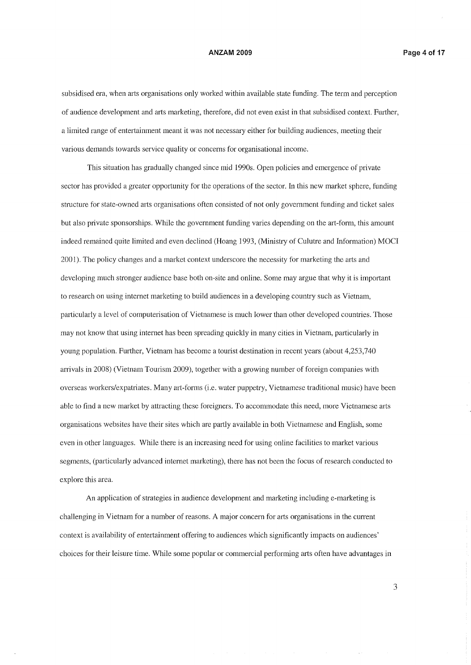subsidised era, when arts organisations only worked within available state funding. The term and perception of audience development and arts marketing, therefore, did not even exist in that subsidised context. Further, a limited range of entertainment meant it was not necessary either for building audiences, meeting their various demands towards service quality or concerns for organisational income.

This situation has gradually changed since mid 1990s. Open policies and emergence of private sector has provided a greater opportunity for the operations of the sector. In this new market sphere, funding structure for state-owned arts organisations often consisted of not only government funding and ticket sales but also private sponsorships. While the government funding varies depending on the art-form, this amount indeed remained quite limited and even declined (Hoang 1993, (Ministry of Culutre and Information) MOCI 2001). The policy changes and a market context underscore the necessity for marketing the arts and developing much stronger audience base both on-site and online. Some may argue that why it is important to research on using internet marketing to build audiences in a developing country such as Vietnam, particularly a level of computerisation of Vietnamese is much lower than other developed countries. Those may not know that using internet has been spreading quickly in many cities in Vietnam, particularly in young population. Further, Vietnam has become a tourist destination in recent years (about 4,253,740) arrivals in 2008) (Vietnam Tourism 2009), together with a growing number of foreign companies with overseas workers/expatriates. Many art-forms (i.e. water puppetry, Vietnamese traditional music) have been able to find a new market by attracting these foreigners. To accommodate this need, more Vietnamese arts organisations websites have their sites which are pattly available in both Vietnamese and English, some even in other languages. While there is an increasing need for using online facilities to market various segments, (particularly advanced internet marketing), there has not been the focus of research conducted to explore this area.

An application of strategies in audience development and marketing including e-marketing is challenging in Vietnam for a number of reasons. A major concern for arts organisations in the current context is availability of entertainment offering to audiences which significantly impacts on audiences' choices for their leisure time. While some popular or commercial performing arts often have advantages in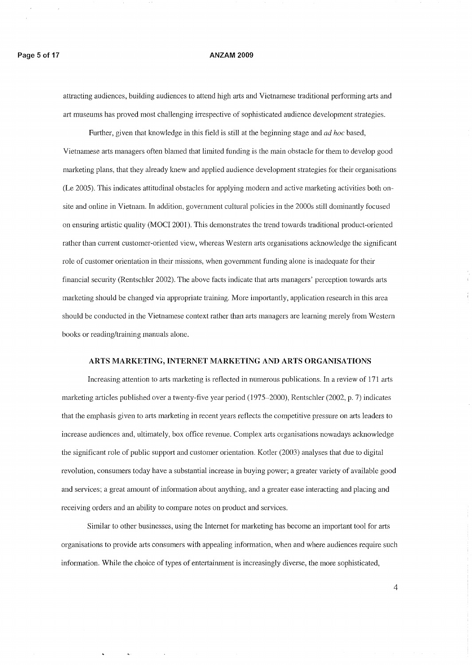attracting audiences, building audiences to attend high arts and Vietnamese traditional performing arts and art museums has proved most challenging irrespective of sophisticated audience development strategies.

Further, given that knowledge in this field is still at the beginning stage and *ad hoc* based, Vietnamese arts managers often blamed that limited funding is the main obstacle for them to develop good marketing plans, that they already knew and applied audience development strategies for their organisations (Le 2005). This indicates attitudinal obstacles for applying modern and active marketing activities both onsite and online in Vietnam. In addition, government cultural policies in the 2000s still dominantly focused on ensuring artistic quality (MOCI 2001). This demonstrates the trend towards traditional product-oriented rather than current customer-oriented view, whereas Western arts organisations acknowledge the significant role of customer orientation in their missions, when government funding alone is inadequate for their financial security (Rentschler 2002). The above facts indicate that arts managers' perception towards arts marketing should be changed via appropriate training. More importantly, application research in this area should be conducted in the Vietnamese context rather than atts managers are learning merely from Western books or reading/training manuals alone.

### **ARTS MARKETING, INTERNET MARKETING AND ARTS ORGANISATIONS**

Increasing attention to arts marketing is reflected in numerous publications. In a review of 171 arts marketing articles published over a twenty-five year period (1975-2000), Rentschler (2002, p. 7) indicates that the emphasis given to arts marketing in recent years reflects the competitive pressure on arts leaders to increase audiences and, ultimately, box office revenue. Complex arts organisations nowadays acknowledge the significant role of public support and customer orientation. Kotler (2003) analyses that due to digital revolution, consumers today have a substantial increase in buying power; a greater variety of available good and services; a great amount of information about anything, and a greater ease interacting and placing and receiving orders and an ability to compare notes on product and services.

Similar to other businesses, using the Internet for marketing has become an important tool for arts organisations to provide arts consumers with appealing information, when and where audiences require such information. While the choice of types of entertainment is increasingly diverse, the more sophisticated,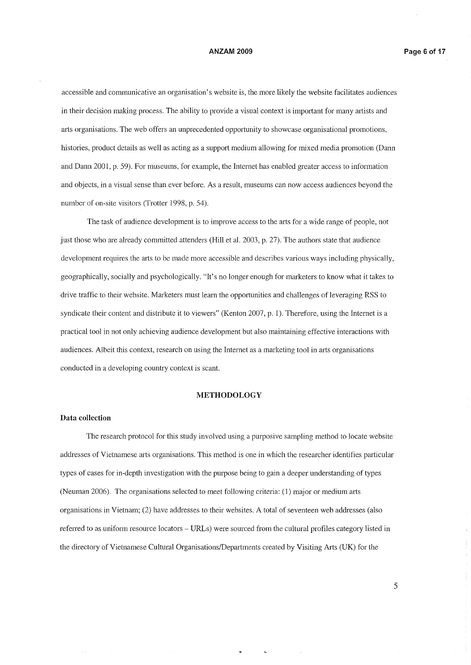accessible and communicative an organisation's website is, the more likely the website facilitates audiences in their decision making process. The ability to provide a visual context is important for many artists and arts organisations. The web offers an unprecedented opportunity to showcase organisational promotions, histories, product details as well as acting as a support medium allowing for mixed media promotion (Dann and Dann 2001, p. 59). For museums, for example, the Internet has enabled greater access to information and objects, in a visual sense than ever before. As a result, museums can now access audiences beyond the number of on-site visitors (Trotter 1998, p. 54).

The task of audience development is to improve access to the arts for a wide range of people, not just those who are already committed attenders (Hill et a1. 2003, p. 27). The authors state that audience development requires the arts to be made more accessible and describes various ways including physically, geographically, socially and psychologically. "It's no longer enough for marketers to know what it takes to drive traffic to their website. Marketers must learn the opportunities and challenges of leveraging RSS to syndicate their content and distribute it to viewers" (Kenton 2007, p. 1). Therefore, using the Internet is a practical tool in not only achieving audience development but also maintaining effective interactions with audiences. Albeit this context, research on using the Internet as a marketing tool in arts organisations conducted in a developing country context is scant.

#### **METHODOLOGY**

### **Data collection**

The research protocol for this study involved using a purposive sampling method to locate website addresses of Vietnamese arts organisations. This method is one in which the researcher identifies particular types of cases for in-depth investigation with the purpose being to gain a deeper understanding of types (Neuman 2006). The organisations selected to meet following criteria: (1) major or medium arts organisations in Vietnam; (2) have addresses to their websites. A total of seventeen web addresses (also referred to as uniform resource locators - URLs) were sourced from the cultural profiles category listed in the directory of Vietnamese Cultural Organisations/Departments created by Visiting Arts (UK) for the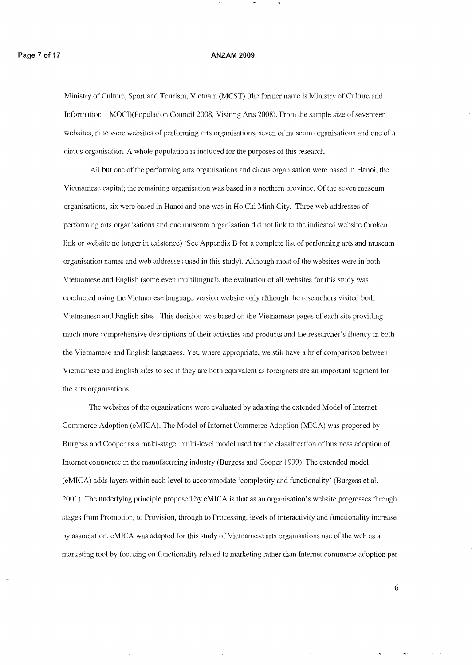Ministry of Culture, Sport and Tourism, Vietnam (MCST) (the former name is Ministry of Culture and Information - MOCI)(Population Council 2008, Visiting Arts 2008). From the sample size of seventeen websites, nine were websites of performing arts organisations, seven of museum organisations and one of a circus organisation. A whole population is included for the purposes of this research.

All but one of the performing arts organisations and circus organisation were based in Hanoi, the Vietnamese capital; the remaining organisation was based in a northern province. Of the seven museum organisations, six were based in Hanoi and one was in Ho Chi Minh City. Three web addresses of performing arts organisations and one museum organisation did not link to the indicated website (broken link or website no longer in existence) (See Appendix B for a complete list of performing arts and museum organisation names and web addresses used in this study). Although most of the websites were in both Vietnamese and English (some even multilingual), the evaluation of all websites for this study was conducted using the Vietnamese language version website only although the researchers visited both Vietnamese and English sites. This decision was based on the Vietnamese pages of each site providing much more comprehensive descriptions of their activities and products and the researcher's fluency in both the Vietnamese and English languages. Yet, where appropriate, we still have a brief comparison between Vietnamese and English sites to see if they are both equivalent as foreigners are an important segment for the arts organisations.

The websites of the organisations were evaluated by adapting the extended Model of Internet Conunerce Adoption (eMICA). The Model of Internet Commerce Adoption (MICA) was proposed by Burgess and Cooper as a multi-stage, multi-level model used for the classification of business adoption of Internet commerce in the manufacturing industry (Burgess and Cooper 1999). The extended model (eMICA) adds layers within each level to acconunodate 'complexity and functionality' (Burgess et al. 2001). The underlying principle proposed by eMICA is that as an organisation's website progresses through stages from Promotion, to Provision, through to Processing, levels of interactivity and functionality increase by association. eMICA was adapted for this study of Vietnamese arts organisations use of the web as a marketing tool by focusing on functionality related to marketing rather than Internet commerce adoption per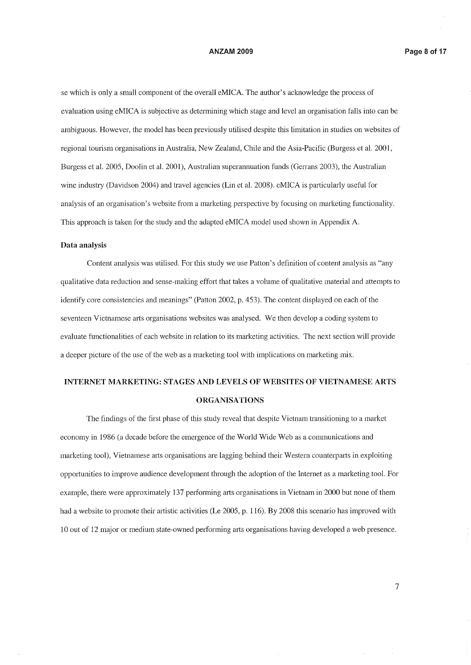se which is only a small component of the overall eMICA. The author's acknowledge the process of evaluation using eMICA is subjective as detennining which stage and level an organisation falls into can be ambiguous. However, the model has been previously utilised despite this limitation in studies on websites of regional tourism organisations in Australia, New Zealand, Chile and the Asia-Pacific (Burgess et al. 2001, Burgess et al. 2005, Doolin et al. 2001), Australian superannuation funds (Gerrans 2003), the Australian wine industry (Davidson 2004) and travel agencies (Lin et al. 2008). eMICA is particularly useful for analysis of an organisation's website from a marketing perspective by focusing on marketing functionality. This approach is taken for the study and the adapted eMICA model used shown in Appendix A.

#### **Data analysis**

Content analysis was utilised. For this study we use Patton's definition of content analysis as "any qualitative data reduction and sense-making effort that takes a volume of qualitative material and attempts to identify core consistencies and meanings" (Patton 2002, p. 453). The content displayed on each of the seventeen Vietnamese arts organisations websites was analysed. We then develop a coding system to evaluate functionalities of each website in relation to its marketing activities. The next section will provide a deeper picture of the use of the web as a marketing tool with implications on marketing mix.

# **INTERNET MARKETING: STAGES AND LEVELS OF WEBSITES OF VIETNAMESE ARTS ORGANISATIONS**

The findings of the first phase of this study reveal that despite Vietnam transitioning to a market economy in 1986 (a decade before the emergence of the World Wide Web as a communications and marketing tool), Vietnamese arts organisations are lagging behind their Western counterparts in exploiting opportunities to improve audience development through the adoption of the Internet as a marketing tool. For example, there were approximately 137 perfonning arts organisations in Vietnam in 2000 but none of them had a website to promote their artistic activities (Le 2005, p. 116). By 2008 this scenario has improved with 10 out of 12 major or medium state-owned performing arts organisations having developed a web presence.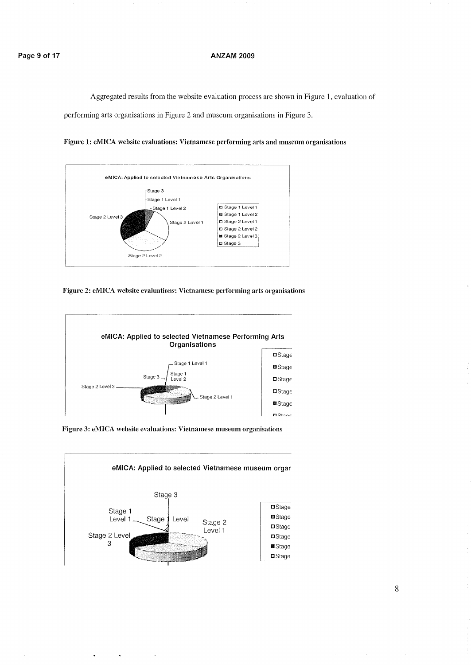### **Page 9 of 17 ANZAM 2009**

Aggregated results from the website evaluation process are shown in Figure 1, evaluation of

performing arts organisations in Figure 2 and museum organisations in Figure 3.





**Figure 2: eMICA website evaluations: Vietnamese performing arts organisations**



**Figure 3: eMICA website evaluations: Vietnamese museum organisations**



 $\tilde{\mathbf{r}}$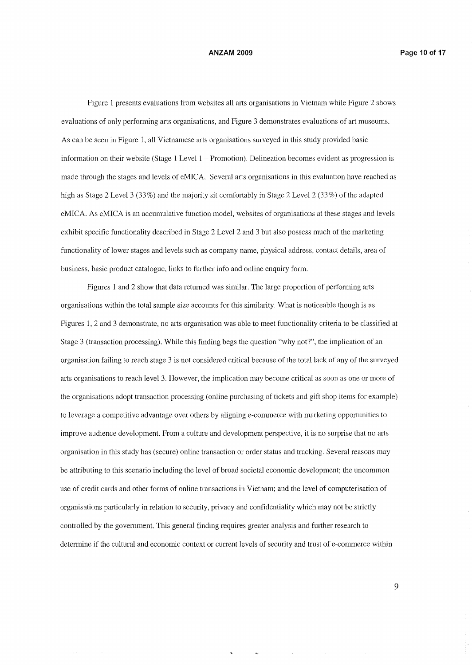Figure 1 presents evaluations from websites all arts organisations in Vietnam while Figure 2 shows evaluations of only performing arts organisations, and Figure 3 demonstrates evaluations of art museums. As can be seen in Figure 1, all Vietnamese arts organisations surveyed in this study provided basic information on their website (Stage  $1$  Level  $1$  – Promotion). Delineation becomes evident as progression is made through the stages and levels of eMICA. Several arts organisations in this evaluation have reached as high as Stage 2 Level 3 (33%) and the majority sit comfortably in Stage 2 Level 2 (33%) of the adapted eMICA. As eMICA is an accumulative function model, websites of organisations at these stages and levels exhibit specific functionality described in Stage 2 Level 2 and 3 but also possess much of the marketing functionality of lower stages and levels such as company name, physical address, contact details, area of business, basic product catalogue, links to further info and online enquiry form.

Figures 1 and 2 show that data returned was similar. The large proportion of performing arts organisations within the total sample size accounts for this similarity. What is noticeable though is as Figures 1, 2 and 3 demonstrate, no arts organisation was able to meet functionality critetia to be classified at Stage 3 (transaction processing). While this finding begs the question "why not?", the implication of an organisation failing to reach stage 3 is not considered critical because of the total lack of any of the surveyed arts organisations to reach level 3. However, the implication may become critical as soon as one or more of the organisations adopt transaction processing (online purchasing of tickets and gift shop items for example) to leverage a competitive advantage over others by aligning e-commerce with marketing opportunities to improve audience development. From a culture and development perspective, it is no surprise that no arts organisation in this study has (secure) online transaction or order status and tracking. Several reasons may be attributing to this scenario including the level of broad societal economic development; the uncommon use of credit cards and other forms of online transactions in Vietnam; and the level of computerisation of organisations particularly in relation to security, privacy and confidentiality which may not be strictly controlled by the government. This general finding requires greater analysis and further research to determine if the cultural and economic context or current levels of security and trust of e-commerce within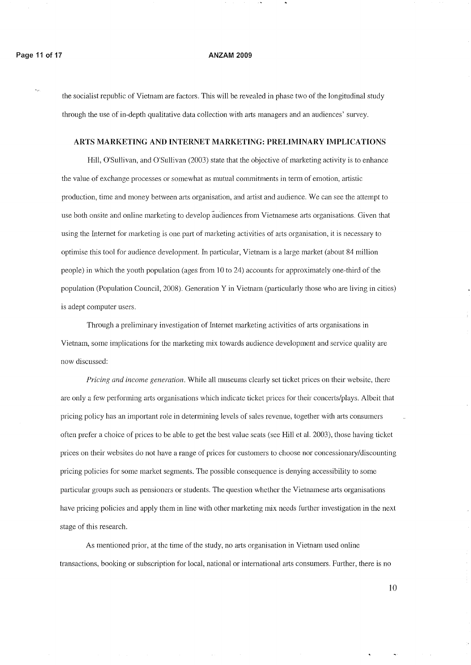the socialist republic of Vietnam are factors. Tllis will be revealed in phase two of the longitudinal study through the use of in-depth qualitative data collection with arts managers and an audiences' survey.

#### ARTS MARKETING AND INTERNET MARKETING: PRELIMINARY IMPLICATIONS

Hill, O'Sullivan, and O'Sullivan (2003) state that the objective of marketing activity is to enhance the value of exchange processes or somewhat as mutual commitments in term of emotion, artistic production, time and money between arts organisation, and artist and audience. We can see the attempt to use both onsite and online marketing to develop 'audiences from Vietnamese arts organisations. Given that using the Internet for marketing is one part of marketing activities of arts organisation, it is necessary to optimise this tool for audience development. In particular, Vietnam is a large market (about 84 million people) in which the youth population (ages from 10 to 24) accounts for approximately one-third of the population (Population Council, 2008). Generation Y in Vietnam (particularly those who are living in cities) is adept computer users,

Through a preliminary investigation of Internet marketing activities of arts organisations in Vietnam, some implications for the marketing mix towm'ds audience development and service quality are now discussed:

*Pricing and income generation.* While all museums clearly set ticket prices on their website, there are only a few performing arts organisations which indicate ticket prices for their concerts/plays. Albeit that pricing policy has an important role in determining levels of sales revenue, together with arts consumers often prefer a choice of prices to be able to get the best value seats (see Hill et al. 2003), those having ticket prices on their websites do not have a range of prices for customers to choose nor concessionary/discounting pricing policies for some market segments. The possible consequence is denying accessibility to some particular groups such as pensioners or students. The question whether the Vietnamese arts organisations have pricing policies and apply them in line with other marketing mix needs further investigation in the next stage of this research.

As mentioned prior, at the time of the study, no arts organisation in Vietnam used online transactions, booking or subscription for local, national or international mts consumers, Further, there is no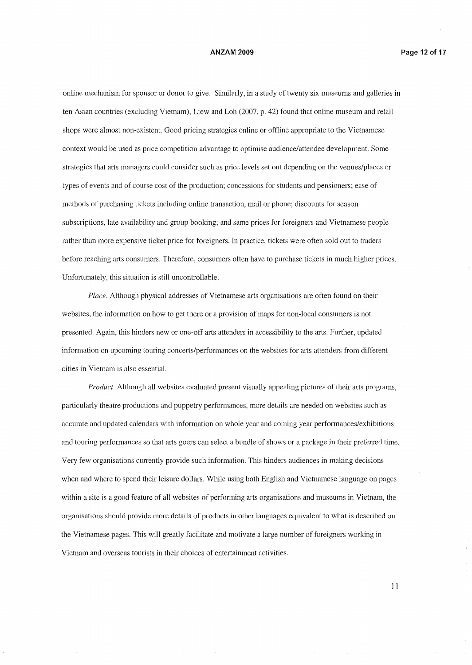online mechanism for sponsor or donor to give. Similarly, in a study of twenty six museums and galleries in ten Asian countties (excluding Vietnam), Liew and Loh (2007, p. 42) found that online museum and retail shops were almost non-existent. Good pricing strategies online or offline appropriate to the Vietnamese context would be used as price competition advantage to optimise audience/attendee development. Some strategies that arts managers could consider such as price levels set out depending on the venues/places or types of events and of course cost of the production; concessions for students and pensioners; ease of methods of purchasing tickets including online transaction, mail or phone; discounts for season subscriptions, late availability and group booking; and same prices for foreigners and Vietnamese people rather than more expensive ticket price for foreigners. In practice, tickets were often sold out to traders before reaching arts consumers. Therefore, consumers often have to purchase tickets in much higher prices. Unfortunately, this situation is still uncontrollable.

*Place.* Although physical addresses of Vietnamese arts organisations are often found on their websites, the information on how to get there or a provision of maps for non-local consumers is not presented. Again, this hinders new or one-off arts attenders in accessibility to the arts. Further, updated information on upcoming touring concerts/performances on the websites for arts attenders from different cities in Vietnam is also essential.

*Product.* Although all websites evaluated present visually appealing pictures of their arts programs, particularly theatre productions and puppetry performances, more details are needed on websites such as accurate and updated calendars with information on whole year and coming year performances/exhibitions and touring performances so that atts goers can select a bundle of shows or a package in their preferred time. Very few organisations currently provide such information. This hinders audiences in making decisions when and where to spend their leisure dollars. While using both English and Vietnamese language on pages within a site is a good feature of all websites of performing arts organisations and museums in Vietnam, the organisations should provide more details of products in other languages equivalent to what is described on the Vietnamese pages. This will greatly facilitate and motivate a large number of foreigners working in Vietnam and overseas tourists in their choices of entertainment activities.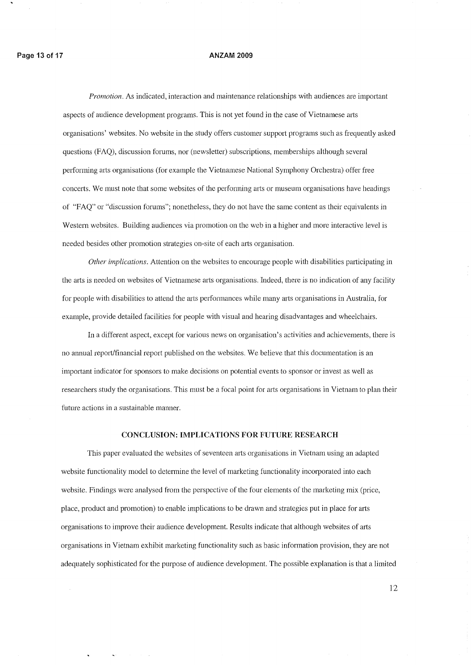*Promotion.* As indicated, interaction and maintenance relationships with audiences are important aspects of audience development programs. This is not yet found in the case of Vietnamese arts organisations' websites. No website in the study offers customer support programs such as frequently asked questions (FAQ), discussion forums, nor (newsletter) subscriptions, memberships although several performing arts organisations (for example the Vietnamese National Symphony Orchestra) offer free concerts. We must note that some websites of the performing arts or museum organisations have headings of "FAQ" or "discussion forums"; nonetheless, they do not have the same content as their equivalents in Western websites. Building audiences via promotion on the web in a higher and more interactive level is needed besides other promotion strategies on-site of each arts organisation.

*Other implications.* Attention on the websites to encourage people with disabilities participating in the arts is needed on websites of Vietnamese arts organisations. Indeed, there is no indication of any facility for people with disabilities to attend the arts performances while many arts organisations in Australia, for example, provide detailed facilities for people with visual and hearing disadvantages and wheelchairs.

In a different aspect, except for various news on organisation's activities and achievements, there is no annual report/financial report published on the websites. We believe that this documentation is an important indicator for sponsors to make decisions on potential events to sponsor or invest as well as researchers study the organisations. This must be a focal point for arts organisations in Vietnam to plan their future actions in a sustainable manner.

### CONCLUSION: **IMPLICATIONS FOR** FUTURE **RESEARCH**

This paper evaluated the websites of seventeen atts organisations in Vietnam using an adapted website functionality model to determine the level of marketing functionality incorporated into each website. Findings were analysed from the perspective of the four elements of the marketing mix (price, place, product and promotion) to enable implications to be drawn and strategies put in place for arts organisations to improve their audience development. Results indicate that although websites of arts organisations in Vietnam exhibit marketing functionality such as basic information provision, they are not adequately sophisticated for the purpose of audience development. The possible explanation is that a limited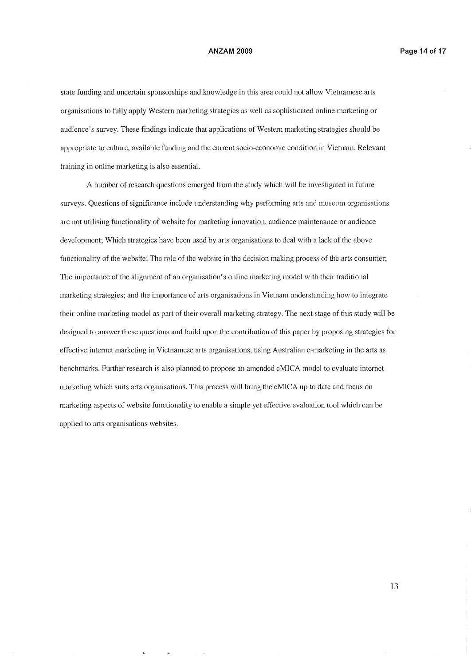state funding and uncertain sponsorships and knowledge in this area could not allow Vietnamese arts organisations to fully apply Western marketing strategies as well as sophisticated online marketing or audience's survey. These findings indicate that applications of Western marketing strategies should be appropriate to culture, available funding and the current socio-economic condition in Vietnam. Relevant training in online marketing is also essential.

A number of research questions emerged from the study which will be investigated in future surveys. Questions of significance include understanding why performing arts and museum organisations are not utilising functionality of website for marketing innovation, audience maintenance or audience development; Which strategies have been used by arts organisations to deal with a lack of the above functionality of the website; The role of the website in the decision making process of the arts consumer; The importance of the alignment of an organisation's online marketing model with their traditional marketing strategies; and the importance of arts organisations in Vietnam understanding how to integrate their online marketing model as part of their overall marketing strategy. The next stage of this study will be designed to answer these questions and build upon the contribution of this paper by proposing strategies for effective internet marketing in Vietnamese arts organisations, using Australian e-marketing in the arts as benchmarks. Further research is also planned to propose an amended eMICA model to evaluate internet marketing which suits arts organisations. This process will bring the eMICA up to date and focus on marketing aspects of website functionality to enable a simple yet effective evaluation tool which can be applied to arts organisations websites.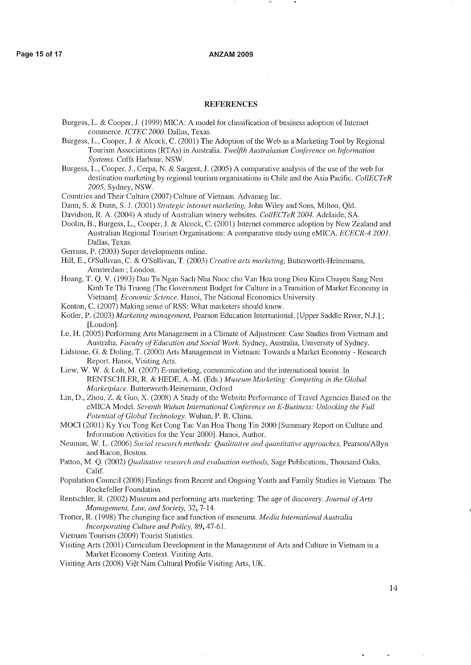### **REFERENCES**

- Burgess, L. & Cooper, 1. (1999) MICA: A model for classification of business adoption of Intemet commerce. *ICTEC* 2000. Dallas, Texas.
- Burgess, L., Cooper, 1. & Alcock, C. (2001) The Adoption of the Web as a Marketing Tool by Regional Tourism Associations (RTAs) in Australia. *Twelfth Australasian Conference on Irifonnation Systems.* Coffs Harbour, NSW.
- Burgess, L., Cooper, 1., Cerpa, N. & Sargent, J. (2005) A comparative analysis of the use of the web for destination marketing by regional tourism organisations in Chile and the Asia Pacific. *CollECTeR* 2005. Sydney, NSW.
- Countries and Their Culture (2007) Culture of Vietnam. Advameg Inc.
- Dann, S. & Dann, S. 1. (2001) *Strategic internet marketing,* John Wiley and Sons, Milton, Qld.
- Davidson, R. A. (2004) A study of Australian winery websites. *CollECTeR* 2004. Adelaide, SA.
- Doolin, B., Burgess, L., Cooper, 1. & Alcock, C. (2001) Intemet commerce adoption by New Zealand and Australian Regional Tourism Organisations: A comparative study using eMICA. *ECECR-4 2001.* Dallas, Texas.
- Gerrans, P. (2003) Super developments online.
- Hill, E., O'Sullivan, C. & O'Sullivan, T. (2003) *Creative arts marketing*, Butterworth-Heinemann, Amsterdam; London.
- Hoang, T. Q. V. (1993) Dau Tu Ngan Sach Nha Nuoc cho Van Hoa trong Dieu Kien Chuyen Sang Nen Kinh Te Thi Truong [The Government Budget for Culture in a Transition of Market Economy in Vietnam]. *Economic Science.* Hanoi, The National Economics University.
- Kenton, C. (2007) Making sense of RSS: What marketers should know.
- Kotler, P. (2003) *Marketing management,* Pearson Education International, [Upper Saddle River, N.J.] ; [London].
- Le, H. (2005) Performing Arts Management in a Climate of Adjustment: Case Studies from Vietnam and Australia. Faculty of Education and Social Work. Sydney, Australia, University of Sydney.
- Lidstone, G. & Doling, T. (2000) Atis Management in Vietnam: Towards a Market Economy Research Report. Hanoi, Visiting Arts.
- Liew, W. W. & Loh, M. (2007) E-marketing, communication and the international tourist. In RENTSCHLER, R. & HEDE, A.-M. (Eds.) *Museum Marketing: Competing in the Global Marketplace.* Butterworth-Heinemann, Oxford
- Lin, D., Zhou, Z. & Guo, X. (2008) A Study of the Website Performance of Travel Agencies Based on the eMICA Model. *Seventh Wuhan International Conference on E-Business: Unlocking the Full Potential ofGlobal Technology.* Wuhan, P. R. China.
- MOCI (2001) Ky Yeu Tong Ket Cong Tac Van Hoa Thong Tin 2000 [Summary Report on Culture and Information Activities for the Year 2000]. Hanoi, Author.
- Neuman, W. L. (2006) *Social research methods: Qualitative and quantitative approaches,* Pearson/Allyn and Bacon, Boston.
- Patton, M. Q. (2002) *Qualitative research and evaluation m.ethods,* Sage Publications, Thousand Oaks, Calif.
- Population Council (2008) Findings from Recent and Ongoing Youth and Family Studies in Vietnam. The Rockefeller Foundation.
- Rentschler, R. (2002) Museum and performing arts marketing: The age of discovery. *Journal ofArts Management, Law, and Society,* 32,7-14.
- Trotter, R. (1998) The changing face and function of museums. *Media International Australia IncOlporating Culture and Policy,* 89,47-61.
- Vietnam Tourism (2009) Tourist Statistics.

Visiting Arts (2001) Cuniculum Development in the Management of Arts and Culture in Vietnam in a Market Economy Context. Visiting Arts.

Visiting Arts (2008) Việt Nam Cultural Profile Visiting Arts, UK.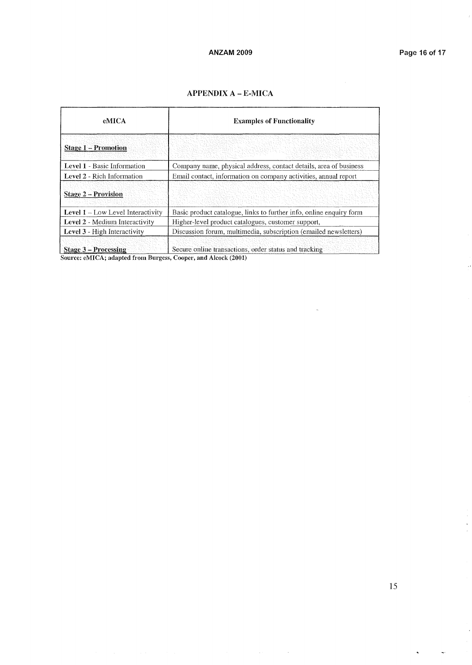# APPENDIX A - E-MICA

| <b>eMICA</b>                             | <b>Examples of Functionality</b>                                    |  |  |
|------------------------------------------|---------------------------------------------------------------------|--|--|
| <b>Stage 1 – Promotion</b>               |                                                                     |  |  |
| Level 1 - Basic Information              | Company name, physical address, contact details, area of business   |  |  |
| Level 2 - Rich Information               | Email contact, information on company activities, annual report     |  |  |
| <b>Stage 2 – Provision</b>               |                                                                     |  |  |
| <b>Level 1</b> – Low Level Interactivity | Basic product catalogue, links to further info, online enquiry form |  |  |
| Level 2 - Medium Interactivity           | Higher-level product catalogues, customer support,                  |  |  |
| Level 3 - High Interactivity             | Discussion forum, multimedia, subscription (emailed newsletters)    |  |  |
| <b>Stage 3 – Processing</b>              | Secure online transactions, order status and tracking               |  |  |

 $\overline{a}$ 

 $\Delta\phi = 0.01$  and  $\Delta\phi$ 

Source: eMICA; adapted from Burgess, Cooper, and Alcock (2001)

 $\frac{1}{2}$ 

 $\bar{\mathbf{z}}$ 

 $\downarrow$ 

 $\ddot{\phantom{0}}$